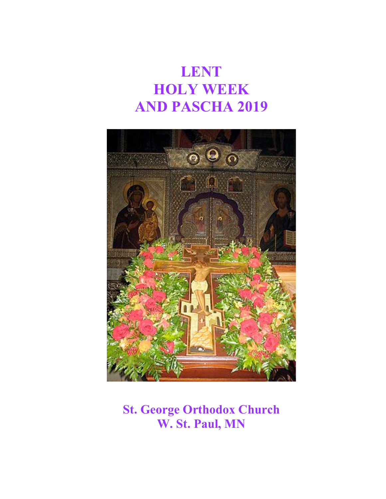# **LENT HOLY WEEK AND PASCHA 2019**



## **St. George Orthodox Church W. St. Paul, MN**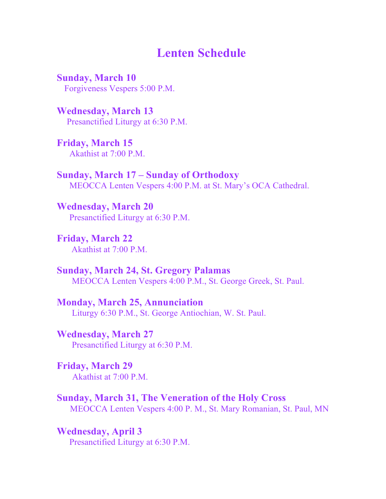### **Lenten Schedule**

**Sunday, March 10** Forgiveness Vespers 5:00 P.M.

**Wednesday, March 13** Presanctified Liturgy at 6:30 P.M.

**Friday, March 15** Akathist at 7:00 P.M.

**Sunday, March 17 – Sunday of Orthodoxy** MEOCCA Lenten Vespers 4:00 P.M. at St. Mary's OCA Cathedral.

**Wednesday, March 20** Presanctified Liturgy at 6:30 P.M.

**Friday, March 22** Akathist at 7:00 P.M.

**Sunday, March 24, St. Gregory Palamas** MEOCCA Lenten Vespers 4:00 P.M., St. George Greek, St. Paul.

**Monday, March 25, Annunciation** Liturgy 6:30 P.M., St. George Antiochian, W. St. Paul.

**Wednesday, March 27** Presanctified Liturgy at 6:30 P.M.

**Friday, March 29** Akathist at 7:00 P.M.

**Sunday, March 31, The Veneration of the Holy Cross** MEOCCA Lenten Vespers 4:00 P. M., St. Mary Romanian, St. Paul, MN

**Wednesday, April 3** Presanctified Liturgy at 6:30 P.M.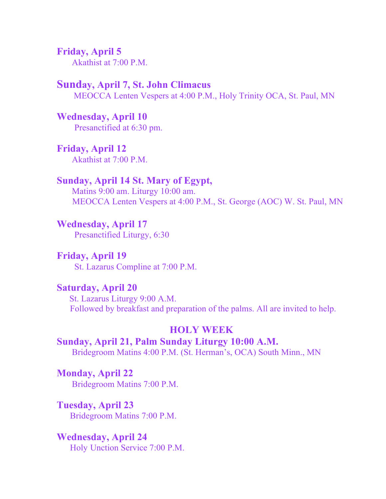**Friday, April 5** Akathist at 7:00 P.M.

#### **Sunday, April 7, St. John Climacus**

MEOCCA Lenten Vespers at 4:00 P.M., Holy Trinity OCA, St. Paul, MN

**Wednesday, April 10** Presanctified at 6:30 pm.

**Friday, April 12** Akathist at 7:00 P.M.

#### **Sunday, April 14 St. Mary of Egypt,**

Matins 9:00 am. Liturgy 10:00 am. MEOCCA Lenten Vespers at 4:00 P.M., St. George (AOC) W. St. Paul, MN

**Wednesday, April 17**

Presanctified Liturgy, 6:30

**Friday, April 19** St. Lazarus Compline at 7:00 P.M.

#### **Saturday, April 20**

St. Lazarus Liturgy 9:00 A.M. Followed by breakfast and preparation of the palms. All are invited to help.

#### **HOLY WEEK**

**Sunday, April 21, Palm Sunday Liturgy 10:00 A.M.** Bridegroom Matins 4:00 P.M. (St. Herman's, OCA) South Minn., MN

**Monday, April 22**

Bridegroom Matins 7:00 P.M.

**Tuesday, April 23**

Bridegroom Matins 7:00 P.M.

**Wednesday, April 24**

Holy Unction Service 7:00 P.M.